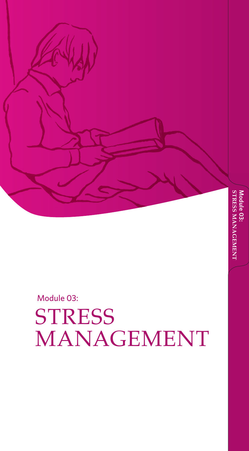**S T R Module 03: ESS MANAGE**

**MENT**

Module 03: **STRESS** MANAGEMENT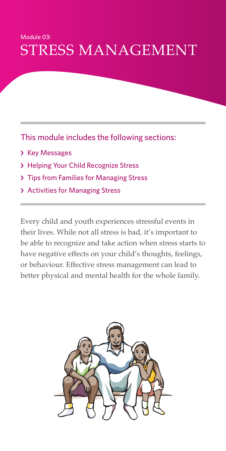### Module 03: STRESS MANAGEMENT

This module includes the following sections:

- › Key Messages
- › Helping Your Child Recognize Stress
- › Tips from Families for Managing Stress
- › Activities for Managing Stress

Every child and youth experiences stressful events in their lives. While not all stress is bad, it's important to be able to recognize and take action when stress starts to have negative effects on your child's thoughts, feelings, or behaviour. Effective stress management can lead to better physical and mental health for the whole family.

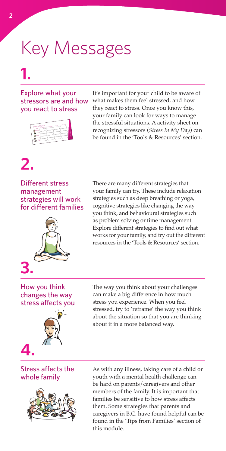# Key Messages

### **1.**

#### Explore what your stressors are and how you react to stress



It's important for your child to be aware of what makes them feel stressed, and how they react to stress. Once you know this, your family can look for ways to manage the stressful situations. A activity sheet on recognizing stressors (*Stress In My Day*) can be found in the 'Tools & Resources' section.

### **2.**

Different stress management strategies will work for different families



There are many different strategies that your family can try. These include relaxation strategies such as deep breathing or yoga, cognitive strategies like changing the way you think, and behavioural strategies such as problem solving or time management. Explore different strategies to find out what works for your family, and try out the different resources in the 'Tools & Resources' section.

#### How you think changes the way stress affects you



The way you think about your challenges can make a big difference in how much stress you experience. When you feel stressed, try to 'reframe' the way you think about the situation so that you are thinking about it in a more balanced way.

#### Stress affects the whole family



As with any illness, taking care of a child or youth with a mental health challenge can be hard on parents/caregivers and other members of the family. It is important that families be sensitive to how stress affects them. Some strategies that parents and caregivers in B.C. have found helpful can be found in the 'Tips from Families' section of this module.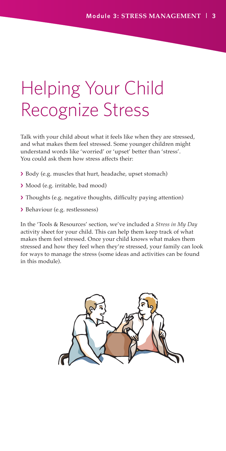## Helping Your Child Recognize Stress

Talk with your child about what it feels like when they are stressed, and what makes them feel stressed. Some younger children might understand words like 'worried' or 'upset' better than 'stress'. You could ask them how stress affects their:

- › Body (e.g. muscles that hurt, headache, upset stomach)
- › Mood (e.g. irritable, bad mood)
- › Thoughts (e.g. negative thoughts, difficulty paying attention)
- › Behaviour (e.g. restlessness)

In the 'Tools & Resources' section, we've included a *Stress in My Day* activity sheet for your child. This can help them keep track of what makes them feel stressed. Once your child knows what makes them stressed and how they feel when they're stressed, your family can look for ways to manage the stress (some ideas and activities can be found in this module).

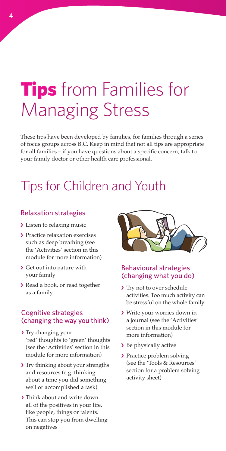## **Tips** from Families for Managing Stress

These tips have been developed by families, for families through a series of focus groups across B.C. Keep in mind that not all tips are appropriate for all families – if you have questions about a specific concern, talk to your family doctor or other health care professional.

### Tips for Children and Youth

#### Relaxation strategies

- › Listen to relaxing music
- › Practice relaxation exercises such as deep breathing (see the 'Activities' section in this module for more information)
- › Get out into nature with your family
- › Read a book, or read together as a family

#### Cognitive strategies (changing the way you think)

- > Try changing your 'red' thoughts to 'green' thoughts (see the 'Activities' section in this module for more information)
- › Try thinking about your strengths and resources (e.g. thinking about a time you did something well or accomplished a task)
- › Think about and write down all of the positives in your life, like people, things or talents. This can stop you from dwelling on negatives



#### Behavioural strategies (changing what you do)

- > Try not to over schedule activities. Too much activity can be stressful on the whole family
- › Write your worries down in a journal (see the 'Activities' section in this module for more information)
- › Be physically active
- › Practice problem solving (see the 'Tools & Resources' section for a problem solving activity sheet)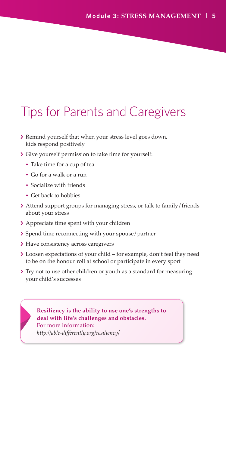### Tips for Parents and Caregivers

- › Remind yourself that when your stress level goes down, kids respond positively
- › Give yourself permission to take time for yourself:
	- Take time for a cup of tea
	- Go for a walk or a run
	- Socialize with friends
	- Get back to hobbies
- › Attend support groups for managing stress, or talk to family/friends about your stress
- › Appreciate time spent with your children
- › Spend time reconnecting with your spouse/partner
- › Have consistency across caregivers
- › Loosen expectations of your child for example, don't feel they need to be on the honour roll at school or participate in every sport
- > Try not to use other children or youth as a standard for measuring your child's successes



**Resiliency is the ability to use one's strengths to deal with life's challenges and obstacles.**  For more information: *http://able-differently.org/resiliency/*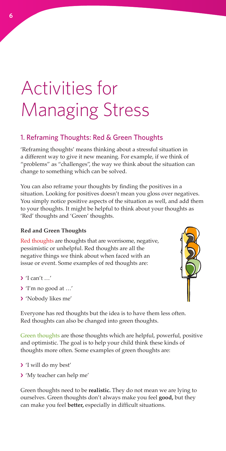## Activities for Managing Stress

#### 1. Reframing Thoughts: Red & Green Thoughts

'Reframing thoughts' means thinking about a stressful situation in a different way to give it new meaning. For example, if we think of "problems" as "challenges", the way we think about the situation can change to something which can be solved.

You can also reframe your thoughts by finding the positives in a situation. Looking for positives doesn't mean you gloss over negatives. You simply notice positive aspects of the situation as well, and add them to your thoughts. It might be helpful to think about your thoughts as 'Red' thoughts and 'Green' thoughts.

#### **Red and Green Thoughts**

Red thoughts are thoughts that are worrisome, negative, pessimistic or unhelpful. Red thoughts are all the negative things we think about when faced with an issue or event. Some examples of red thoughts are:

- › 'I can't …'
- › 'I'm no good at …'
- › 'Nobody likes me'

Everyone has red thoughts but the idea is to have them less often. Red thoughts can also be changed into green thoughts.

Green thoughts are those thoughts which are helpful, powerful, positive and optimistic. The goal is to help your child think these kinds of thoughts more often. Some examples of green thoughts are:

- › 'I will do my best'
- › 'My teacher can help me'

Green thoughts need to be **realistic.** They do not mean we are lying to ourselves. Green thoughts don't always make you feel **good,** but they can make you feel **better,** especially in difficult situations.

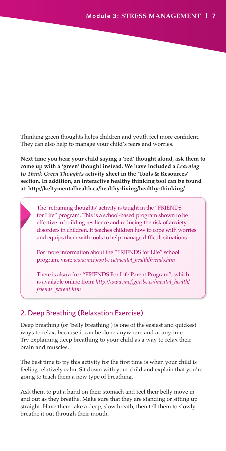Thinking green thoughts helps children and youth feel more confident. They can also help to manage your child's fears and worries.

**Next time you hear your child saying a 'red' thought aloud, ask them to come up with a 'green' thought instead. We have included a** *Learning to Think Green Thoughts* **activity sheet in the 'Tools & Resources' section. In addition, an interactive healthy thinking tool can be found at: http://keltymentalhealth.ca/healthy-living/healthy-thinking/**

The 'reframing thoughts' activity is taught in the "FRIENDS for Life" program. This is a school-based program shown to be effective in building resilience and reducing the risk of anxiety disorders in children. It teaches children how to cope with worries and equips them with tools to help manage difficult situations.

For more information about the "FRIENDS for Life" school program, visit: *www.mcf.gov.bc.ca/mental\_health/friends.htm*

There is also a free "FRIENDS For Life Parent Program", which is available online from: *[http://www.mcf.gov.bc.ca/mental\\_health/](http://www.mcf.gov.bc.ca/mental_health/friends_parent.htm) [friends\\_parent.htm](http://www.mcf.gov.bc.ca/mental_health/friends_parent.htm)*

#### 2. Deep Breathing (Relaxation Exercise)

Deep breathing (or 'belly breathing') is one of the easiest and quickest ways to relax, because it can be done anywhere and at anytime. Try explaining deep breathing to your child as a way to relax their brain and muscles.

The best time to try this activity for the first time is when your child is feeling relatively calm. Sit down with your child and explain that you're going to teach them a new type of breathing.

Ask them to put a hand on their stomach and feel their belly move in and out as they breathe. Make sure that they are standing or sitting up straight. Have them take a deep, slow breath, then tell them to slowly breathe it out through their mouth.